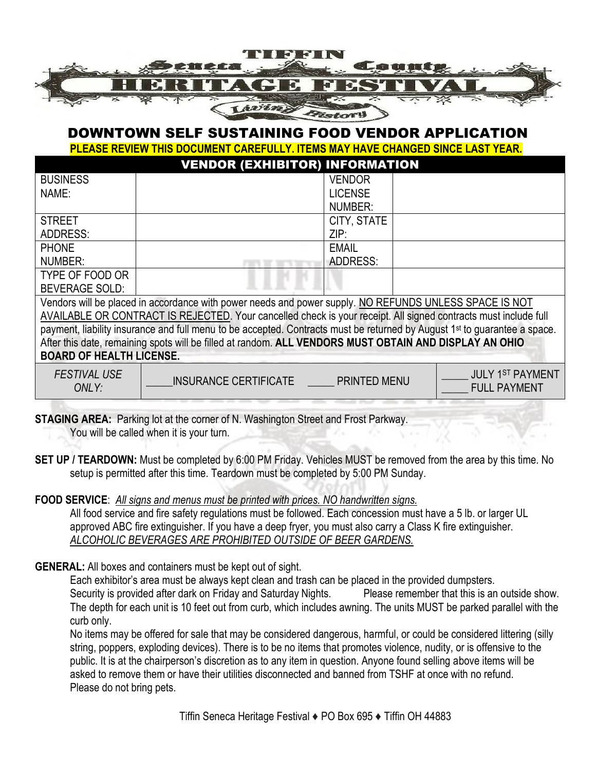

## DOWNTOWN SELF SUSTAINING FOOD VENDOR APPLICATION

**PLEASE REVIEW THIS DOCUMENT CAREFULLY. ITEMS MAY HAVE CHANGED SINCE LAST YEAR.**

|                                                                                                                                       | <b>VENDOR (EXHIBITOR) INFORMATION</b> |                     |  |                                                |  |  |
|---------------------------------------------------------------------------------------------------------------------------------------|---------------------------------------|---------------------|--|------------------------------------------------|--|--|
| <b>BUSINESS</b>                                                                                                                       |                                       | <b>VENDOR</b>       |  |                                                |  |  |
| NAME:                                                                                                                                 |                                       | <b>LICENSE</b>      |  |                                                |  |  |
|                                                                                                                                       |                                       | NUMBER:             |  |                                                |  |  |
| <b>STREET</b>                                                                                                                         |                                       | CITY, STATE         |  |                                                |  |  |
| <b>ADDRESS:</b>                                                                                                                       |                                       | ZIP:                |  |                                                |  |  |
| <b>PHONE</b>                                                                                                                          |                                       | <b>EMAIL</b>        |  |                                                |  |  |
| NUMBER:                                                                                                                               |                                       | <b>ADDRESS:</b>     |  |                                                |  |  |
| TYPE OF FOOD OR                                                                                                                       |                                       |                     |  |                                                |  |  |
| <b>BEVERAGE SOLD:</b>                                                                                                                 |                                       |                     |  |                                                |  |  |
| Vendors will be placed in accordance with power needs and power supply. NO REFUNDS UNLESS SPACE IS NOT                                |                                       |                     |  |                                                |  |  |
| AVAILABLE OR CONTRACT IS REJECTED. Your cancelled check is your receipt. All signed contracts must include full                       |                                       |                     |  |                                                |  |  |
| payment, liability insurance and full menu to be accepted. Contracts must be returned by August 1 <sup>st</sup> to guarantee a space. |                                       |                     |  |                                                |  |  |
| After this date, remaining spots will be filled at random. ALL VENDORS MUST OBTAIN AND DISPLAY AN OHIO                                |                                       |                     |  |                                                |  |  |
| <b>BOARD OF HEALTH LICENSE.</b>                                                                                                       |                                       |                     |  |                                                |  |  |
| <b>FESTIVAL USE</b><br>ONLY:                                                                                                          | INSURANCE CERTIFICATE                 | <b>PRINTED MENU</b> |  | <b>JULY 1ST PAYMENT</b><br><b>FULL PAYMENT</b> |  |  |

**STAGING AREA:** Parking lot at the corner of N. Washington Street and Frost Parkway. You will be called when it is your turn.

**SET UP / TEARDOWN:** Must be completed by 6:00 PM Friday. Vehicles MUST be removed from the area by this time. No

setup is permitted after this time. Teardown must be completed by 5:00 PM Sunday.

**FOOD SERVICE**: *All signs and menus must be printed with prices. NO handwritten signs.*

All food service and fire safety regulations must be followed. Each concession must have a 5 lb. or larger UL approved ABC fire extinguisher. If you have a deep fryer, you must also carry a Class K fire extinguisher. *ALCOHOLIC BEVERAGES ARE PROHIBITED OUTSIDE OF BEER GARDENS.*

**GENERAL:** All boxes and containers must be kept out of sight.

Each exhibitor's area must be always kept clean and trash can be placed in the provided dumpsters.

Security is provided after dark on Friday and Saturday Nights. Please remember that this is an outside show. The depth for each unit is 10 feet out from curb, which includes awning. The units MUST be parked parallel with the curb only.

No items may be offered for sale that may be considered dangerous, harmful, or could be considered littering (silly string, poppers, exploding devices). There is to be no items that promotes violence, nudity, or is offensive to the public. It is at the chairperson's discretion as to any item in question. Anyone found selling above items will be asked to remove them or have their utilities disconnected and banned from TSHF at once with no refund. Please do not bring pets.

Tiffin Seneca Heritage Festival ♦ PO Box 695 ♦ Tiffin OH 44883